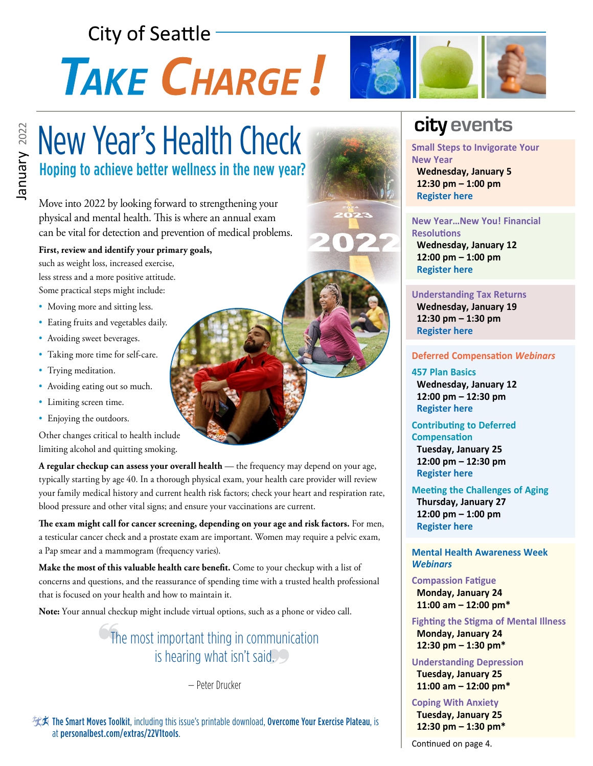## **City of Seattle**

# TAKE CHARGE!



## New Year's Health Check Hoping to achieve better wellness in the new year?

Move into 2022 by looking forward to strengthening your physical and mental health. This is where an annual exam can be vital for detection and prevention of medical problems.

### **First, review and identify your primary goals,**

such as weight loss, increased exercise, less stress and a more positive attitude. Some practical steps might include:

- Moving more and sitting less.
- Eating fruits and vegetables daily.
- Avoiding sweet beverages.
- Taking more time for self-care.
- Trying meditation.
- Avoiding eating out so much.
- Limiting screen time.
- Enjoying the outdoors.

Other changes critical to health include limiting alcohol and quitting smoking.

**A regular checkup can assess your overall health** — the frequency may depend on your age, typically starting by age 40. In a thorough physical exam, your health care provider will review your family medical history and current health risk factors; check your heart and respiration rate, blood pressure and other vital signs; and ensure your vaccinations are current.

**The exam might call for cancer screening, depending on your age and risk factors.** For men, a testicular cancer check and a prostate exam are important. Women may require a pelvic exam, a Pap smear and a mammogram (frequency varies).

**Make the most of this valuable health care benefit.** Come to your checkup with a list of concerns and questions, and the reassurance of spending time with a trusted health professional that is focused on your health and how to maintain it.

**Note:** Your annual checkup might include virtual options, such as a phone or video call.

### The most important thing in communication is hearing what isn't said.

— Peter Drucker

承人 The Smart Moves Toolkit, including this issue's printable download, Overcome Your Exercise Plateau, is at [personalbest.com/extras/22V1tools](http://personalbest.com/extras/22V1tools).

## **city events**

**Small Steps to Invigorate Your New Year Wednesday, January 5 12:30 pm – 1:00 pm [Register here](https://kpevents.webex.com/ec3300/eventcenter/enroll/join.do?confId=212422387045510065&theAction=detail&path=program_detail&siteurl=kpevents&confViewID=212422387045510065&internalProgramTicketUnList=4832534b0000000552c4464e90c17002295f8865fe34470556618654bcd3fb0c24b234ceba57304d&MK=25956897072)**

#### **New Year…New You! Financial Resolutions Wednesday, January 12 12:00 pm – 1:00 pm  [Register here](https://mysecureadvantage.zoom.us/webinar/register/WN_8mOe28j4S-mumzuAdOMmjw)**

### **Understanding Tax Returns Wednesday, January 19**

 **12:30 pm – 1:30 pm [Register here](https://mysecureadvantage.zoom.us/webinar/register/WN_9cIaqhl4TjqbopmGxuI4Sw)**

### **Deferred Compensation** *Webinars*

**457 Plan Basics Wednesday, January 12 12:00 pm – 12:30 pm [Register here](https://seattle.webex.com/seattle/onstage/g.php?MTID=e62c7856c31ea4afea0c49bfc828f285e)**

### **Contributing to Deferred Compensation**

 **Tuesday, January 25 12:00 pm – 12:30 pm [Register here](https://seattle.webex.com/mw3300/mywebex/default.do?nomenu=true&siteurl=seattle&service=6&rnd=0.38638249380407064&main_url=https%3A%2F%2Fseattle.webex.com%2Fec3300%2Feventcenter%2Fevent%2FeventAction.do%3FtheAction%3Ddetail%26%26%26EMK%3D4832534b00000005876d723c6dd50fb373d427b08fa014c4aa8cf615db6d9433fa2db56d4bdf66dd%26siteurl%3Dseattle%26confViewID%3D214870967173791722%26encryptTicket%3DSDJTSwAAAAUoTgu5U3pHmkjIWEouEq2kGLjfDvw2zHTta90_9BhYqQ2%26)**

### **Meeting the Challenges of Aging**

 **Thursday, January 27 12:00 pm – 1:00 pm [Register here](https://register.gotowebinar.com/register/5285728846501512464)**

### **Mental Health Awareness Week**  *Webinars*

### **Compassion Fatigue**

 **Monday, January 24 11:00 am – 12:00 pm\***

**Fighting the Stigma of Mental Illness Monday, January 24 12:30 pm – 1:30 pm\***

### **Understanding Depression Tuesday, January 25**

 **11:00 am – 12:00 pm\* Coping With Anxiety**

 **Tuesday, January 25 12:30 pm – 1:30 pm\***

Continued on page 4.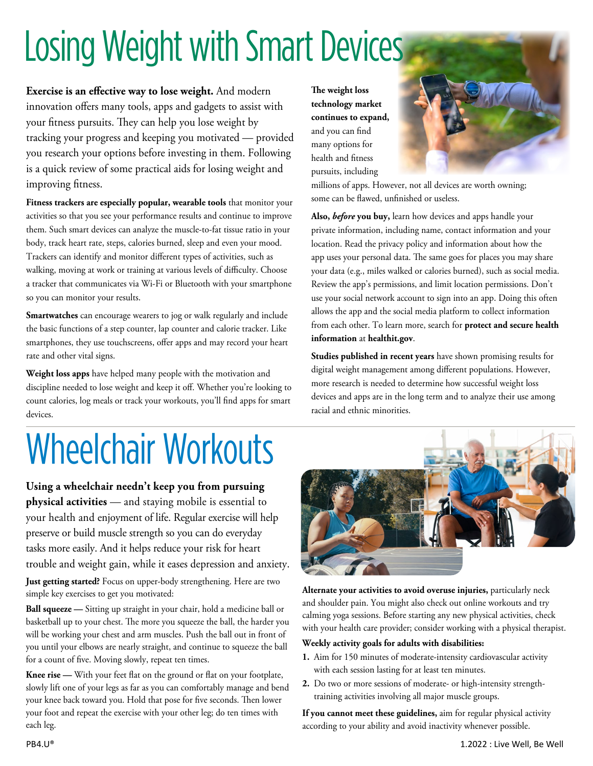## Losing Weight with Smart Devices

**Exercise is an effective way to lose weight.** And modern innovation offers many tools, apps and gadgets to assist with your fitness pursuits. They can help you lose weight by tracking your progress and keeping you motivated — provided you research your options before investing in them. Following is a quick review of some practical aids for losing weight and improving fitness.

**Fitness trackers are especially popular, wearable tools** that monitor your activities so that you see your performance results and continue to improve them. Such smart devices can analyze the muscle-to-fat tissue ratio in your body, track heart rate, steps, calories burned, sleep and even your mood. Trackers can identify and monitor different types of activities, such as walking, moving at work or training at various levels of difficulty. Choose a tracker that communicates via Wi-Fi or Bluetooth with your smartphone so you can monitor your results.

**Smartwatches** can encourage wearers to jog or walk regularly and include the basic functions of a step counter, lap counter and calorie tracker. Like smartphones, they use touchscreens, offer apps and may record your heart rate and other vital signs.

**Weight loss apps** have helped many people with the motivation and discipline needed to lose weight and keep it off. Whether you're looking to count calories, log meals or track your workouts, you'll find apps for smart devices.

## Wheelchair Workouts

**Using a wheelchair needn't keep you from pursuing physical activities** — and staying mobile is essential to your health and enjoyment of life. Regular exercise will help preserve or build muscle strength so you can do everyday tasks more easily. And it helps reduce your risk for heart trouble and weight gain, while it eases depression and anxiety.

**Just getting started?** Focus on upper-body strengthening. Here are two simple key exercises to get you motivated:

**Ball squeeze —** Sitting up straight in your chair, hold a medicine ball or basketball up to your chest. The more you squeeze the ball, the harder you will be working your chest and arm muscles. Push the ball out in front of you until your elbows are nearly straight, and continue to squeeze the ball for a count of five. Moving slowly, repeat ten times.

**Knee rise —** With your feet flat on the ground or flat on your footplate, slowly lift one of your legs as far as you can comfortably manage and bend your knee back toward you. Hold that pose for five seconds. Then lower your foot and repeat the exercise with your other leg; do ten times with each leg.

**The weight loss technology market continues to expand,** and you can find many options for health and fitness pursuits, including



millions of apps. However, not all devices are worth owning; some can be flawed, unfinished or useless.

**Also,** *before* **you buy,** learn how devices and apps handle your private information, including name, contact information and your location. Read the privacy policy and information about how the app uses your personal data. The same goes for places you may share your data (e.g., miles walked or calories burned), such as social media. Review the app's permissions, and limit location permissions. Don't use your social network account to sign into an app. Doing this often allows the app and the social media platform to collect information from each other. To learn more, search for **protect and secure health information** at **[healthit.gov](http://healthit.gov)**.

**Studies published in recent years** have shown promising results for digital weight management among different populations. However, more research is needed to determine how successful weight loss devices and apps are in the long term and to analyze their use among racial and ethnic minorities.



**Alternate your activities to avoid overuse injuries,** particularly neck and shoulder pain. You might also check out online workouts and try calming yoga sessions. Before starting any new physical activities, check with your health care provider; consider working with a physical therapist.

### **Weekly activity goals for adults with disabilities:**

- **1.** Aim for 150 minutes of moderate-intensity cardiovascular activity with each session lasting for at least ten minutes.
- **2.** Do two or more sessions of moderate- or high-intensity strengthtraining activities involving all major muscle groups.

**If you cannot meet these guidelines,** aim for regular physical activity according to your ability and avoid inactivity whenever possible.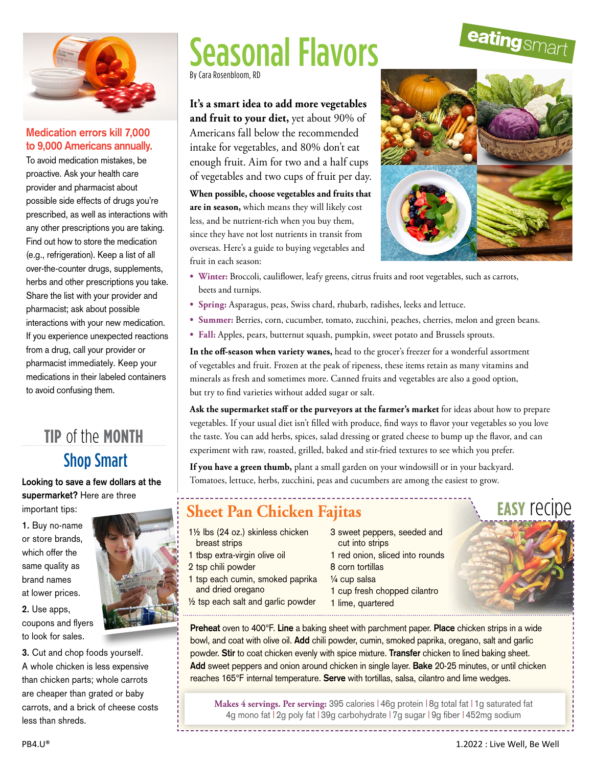

### **Medication errors kill 7,000 to 9,000 Americans annually.**

To avoid medication mistakes, be proactive. Ask your health care provider and pharmacist about possible side effects of drugs you're prescribed, as well as interactions with any other prescriptions you are taking. Find out how to store the medication (e.g., refrigeration). Keep a list of all over-the-counter drugs, supplements, herbs and other prescriptions you take. Share the list with your provider and pharmacist; ask about possible interactions with your new medication. If you experience unexpected reactions from a drug, call your provider or pharmacist immediately. Keep your medications in their labeled containers to avoid confusing them.

### Shop Smart **tip** of the **month**

**Looking to save a few dollars at the supermarket?** Here are three important tips:

**1.** Buy no-name or store brands, which offer the same quality as brand names at lower prices.

**2.** Use apps, coupons and flyers to look for sales.

**3.** Cut and chop foods yourself. A whole chicken is less expensive than chicken parts; whole carrots are cheaper than grated or baby carrots, and a brick of cheese costs less than shreds.

## Seasonal Flavors

By Cara Rosenbloom, RD

**It's a smart idea to add more vegetables and fruit to your diet,** yet about 90% of Americans fall below the recommended intake for vegetables, and 80% don't eat enough fruit. Aim for two and a half cups of vegetables and two cups of fruit per day.

**When possible, choose vegetables and fruits that are in season,** which means they will likely cost less, and be nutrient-rich when you buy them, since they have not lost nutrients in transit from overseas. Here's a guide to buying vegetables and fruit in each season:



- **• Winter:** Broccoli, cauliflower, leafy greens, citrus fruits and root vegetables, such as carrots, beets and turnips.
- **• Spring:** Asparagus, peas, Swiss chard, rhubarb, radishes, leeks and lettuce.
- **• Summer:** Berries, corn, cucumber, tomato, zucchini, peaches, cherries, melon and green beans.
- **• Fall:** Apples, pears, butternut squash, pumpkin, sweet potato and Brussels sprouts.

**In the off-season when variety wanes,** head to the grocer's freezer for a wonderful assortment of vegetables and fruit. Frozen at the peak of ripeness, these items retain as many vitamins and minerals as fresh and sometimes more. Canned fruits and vegetables are also a good option, but try to find varieties without added sugar or salt.

**Ask the supermarket staff or the purveyors at the farmer's market** for ideas about how to prepare vegetables. If your usual diet isn't filled with produce, find ways to flavor your vegetables so you love the taste. You can add herbs, spices, salad dressing or grated cheese to bump up the flavor, and can experiment with raw, roasted, grilled, baked and stir-fried textures to see which you prefer.

**If you have a green thumb,** plant a small garden on your windowsill or in your backyard. Tomatoes, lettuce, herbs, zucchini, peas and cucumbers are among the easiest to grow.

### **Sheet Pan Chicken Fajitas**

- 1½ lbs (24 oz.) skinless chicken breast strips
- 
- 
- 
- 
- 3 sweet peppers, seeded and cut into strips
- 1 red onion, sliced into rounds
- 8 corn tortillas
- ¼ cup salsa
- 1 cup fresh chopped cilantro
- 1 lime, quartered

**easy** recipe

**Preheat** oven to 400°F. **Line** a baking sheet with parchment paper. **Place** chicken strips in a wide bowl, and coat with olive oil. **Add** chili powder, cumin, smoked paprika, oregano, salt and garlic powder. **Stir** to coat chicken evenly with spice mixture. **Transfer** chicken to lined baking sheet. **Add** sweet peppers and onion around chicken in single layer. **Bake** 20-25 minutes, or until chicken reaches 165°F internal temperature. **Serve** with tortillas, salsa, cilantro and lime wedges.

**Makes 4 servings. Per serving:** 395 calories | 46g protein | 8g total fat | 1g saturated fat 4g mono fat | 2g poly fat | 39g carbohydrate | 7g sugar | 9g fiber | 452mg sodium 



1 tbsp extra-virgin olive oil 2 tsp chili powder

- 1 tsp each cumin, smoked paprika and dried oregano
- ½ tsp each salt and garlic powder